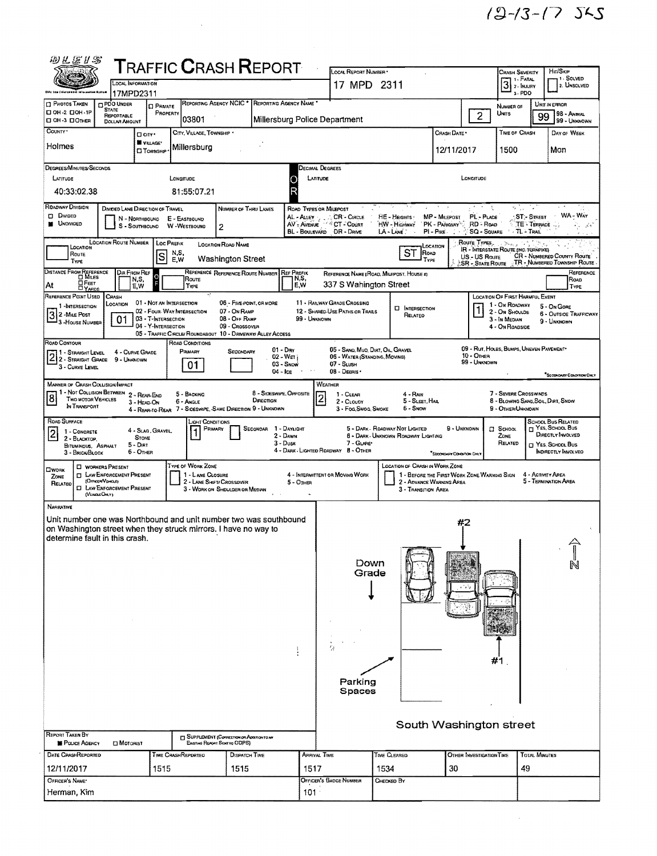$\mathcal{L}^{\text{max}}_{\text{max}}$ 

| 砂孔医扩合                                                                                    |                                    |                                            |                                                            | <b>TRAFFIC CRASH REPORT</b>                                                   |                                   | LOCAL REPORT NUMBER *                                          |                                                                              |                                            |                                          |                                                         |                                   | HIT/SKIP                                        |
|------------------------------------------------------------------------------------------|------------------------------------|--------------------------------------------|------------------------------------------------------------|-------------------------------------------------------------------------------|-----------------------------------|----------------------------------------------------------------|------------------------------------------------------------------------------|--------------------------------------------|------------------------------------------|---------------------------------------------------------|-----------------------------------|-------------------------------------------------|
|                                                                                          | <b>LOCAL INFORMATION</b>           |                                            |                                                            |                                                                               |                                   | 17 MPD 2311                                                    |                                                                              |                                            |                                          | <b>CRASH SEVERITY</b><br>7 1 - Гатаl<br>$3$ 2- INJURY   |                                   | 1- SOLVED<br>2. UNSOLVED                        |
|                                                                                          | 17MPD2311                          |                                            |                                                            |                                                                               |                                   |                                                                |                                                                              |                                            |                                          | 3-PDO                                                   |                                   |                                                 |
| <b>PHOTOS TAKEN</b><br><b>STATE</b><br>П ОН-2 ПОН-1Р                                     | <b>DPDO UNDER</b>                  | <b>D</b> PRIVATE<br>PROPERTY               |                                                            | REPORTING AGENCY NCIC * REPORTING AGENCY NAME                                 |                                   |                                                                |                                                                              |                                            |                                          | NUMBER OF<br>Units                                      |                                   | UNIT IN ERROR<br>98 - Animal                    |
| CI OH-3 CIOTHER                                                                          | REPORTABLE<br><b>DOLLAR AMOUNT</b> |                                            | 03801                                                      |                                                                               | Millersburg Police Department     |                                                                |                                                                              |                                            | $\overline{2}$                           |                                                         | 99                                | 99 - UNKNOWN                                    |
| COUNTY <sup>*</sup>                                                                      |                                    | <b>D</b> CITY*                             | CITY, VILLAGE, TOWNSHIP .                                  |                                                                               |                                   |                                                                |                                                                              | Сялѕн Dате •                               |                                          | TIME OF CRASH                                           |                                   | DAY OF WEEK                                     |
| Holmes                                                                                   |                                    | VILLAGE*<br><b>CI TOWNSHIP</b>             | Millersburg                                                |                                                                               |                                   |                                                                |                                                                              | 12/11/2017                                 |                                          | 1500                                                    |                                   | Mon                                             |
| DEGREES/MINUTES/SECONDS                                                                  |                                    |                                            |                                                            |                                                                               |                                   | Decimal Degrees                                                |                                                                              |                                            |                                          |                                                         |                                   |                                                 |
| LATITUDE                                                                                 |                                    |                                            | LONGITUDE                                                  |                                                                               | LATITUDE<br>۰                     |                                                                |                                                                              |                                            | LONGITUDE                                |                                                         |                                   |                                                 |
| 40:33:02.38                                                                              |                                    |                                            | 81:55:07.21                                                |                                                                               | R                                 |                                                                |                                                                              |                                            |                                          |                                                         |                                   |                                                 |
| ROADWAY DIVISION                                                                         | DIVIDED LANE DIRECTION OF TRAVEL   |                                            |                                                            | NUMBER OF THRU LANES                                                          | ROAD TYPES OR MILEPOST            |                                                                |                                                                              |                                            | ારી શ                                    | s la la                                                 |                                   |                                                 |
| <b>D</b> Divideo<br><b>N</b> UNOWDED                                                     |                                    |                                            | N - NORTHBOUND E - EASTBOUND<br>S - SOUTHBOUND W-WESTBOUND | 2                                                                             | AL-ALLEY                          | CR - CIRCLE<br>AV-AVENUE <b>CT-COURT</b>                       | HE - Heights -<br>HW - Highway                                               | MP - MILEPOST<br>PK - PARKWAY <sup>1</sup> | PL - PLACE<br>RD - Road                  |                                                         | <b>ST:-Street</b><br>TE - TERRACE | WA - Way                                        |
|                                                                                          | <b>LOCATION ROUTE NUMBER</b>       |                                            |                                                            |                                                                               |                                   | BL - BOULEVARD DR - DRIVE                                      | LA-LANE<br>$\sim$                                                            | $PL - P_{IKE}$ .                           | <b>SQ - SQUARE</b>                       | <b>T. TL-TRAIL</b>                                      |                                   |                                                 |
| LOCATION<br>ROUTE                                                                        |                                    | lsl                                        | Loc PREFIX<br>N,S,                                         | <b>LOCATION ROAD NAME</b>                                                     |                                   |                                                                | LOCATION<br>ST<br>ROAD                                                       |                                            | Route Types                              | <b>IR - INTERSTATE ROUTE (INC. TURNPIKE)</b>            |                                   | CR - NUMBERED COUNTY ROUTE                      |
| <b>TYPE</b>                                                                              |                                    |                                            | E,W                                                        | <b>Washington Street</b>                                                      |                                   |                                                                | TYPE                                                                         |                                            | US - US Route<br><b>SR - STATE ROUTE</b> |                                                         |                                   | TR - NUMBERED TOWNSHIP ROUTE                    |
| DISTANCE FROM REFERENCE                                                                  | Dir From Ref<br>N.S,               |                                            | Route                                                      | REFERENCE REFERENCE ROUTE NUMBER REF PREFIX                                   | N,S,                              |                                                                | REFERENCE NAME (ROAD, MILEPOST, HOUSE #)                                     |                                            |                                          |                                                         |                                   | REFERENCE<br>Roap                               |
| <b>OFEET</b><br>At<br>REFERENCE POINT USED                                               | E,W<br><b>CRASH</b>                |                                            | Type                                                       |                                                                               | E,W                               | 337 S Wahington Street                                         |                                                                              |                                            |                                          | LOCATION OF FIRST HARMFUL EVENT                         |                                   | TYPE                                            |
| 1-INTERSECTION                                                                           | LOCATION                           |                                            | 01 - Not an Intersection<br>02 - FOUR WAY INTERSECTION     | 06 - FIVE-POINT, OR MORE<br>07 - ON RAMP                                      |                                   | 11 - RAILWAY GRADE CROSSING<br>12 - SHARED-USE PATHS OR TRAILS | <b>CI INTERSECTION</b>                                                       |                                            |                                          | 1 - On ROADWAY<br>2 - ON SHOULDE                        |                                   | $5 - ON GOHE$                                   |
| $\overline{3}$<br>2 - MILE POST<br><sup>1</sup> 3 - House Number                         | 01                                 | 03 - T-INTERSECTION<br>04 - Y-INTERSECTION |                                                            | 08 - OFF RAMP                                                                 | 99 - UNKNOWN                      |                                                                | RELATED                                                                      |                                            |                                          | 3 - In Median                                           |                                   | <b>6 - OUTSIDE TRAFFICWAY</b><br>9 - Unionown   |
|                                                                                          |                                    |                                            |                                                            | 09 - Crossover<br>05 - TRAFFIC CIRCLE/ ROUNDABOUT 10 - DRIVEWAY/ ALLEY ACCESS |                                   |                                                                |                                                                              |                                            |                                          | 4 - On ROADSIDE                                         |                                   |                                                 |
| ROAD CONTOUR<br><b>11 - Straight Level</b>                                               | 4 - CURVE GRADE                    |                                            | ROAD CONDITIONS<br>PRIMARY                                 | SECONDARY                                                                     | $01 - Draw$                       | 05 - SANO, MUO, DIRT, OIL, GRAVEL                              |                                                                              |                                            |                                          | 09 - RUT, HOLES, BUMPS, UNEVEN PAVEMENT*                |                                   |                                                 |
| 2 1 - STRAIGHT LEVEL 4 - GURVE GR<br>2 2 - STRAIGHT GRADE 9 - UNKNOWN<br>3 - CURVE LEVEL |                                    |                                            | 01                                                         |                                                                               | 02 - Weri<br>03 - Snow            | 06 - WATER (STANDING, MOVING)<br>07 - SLUSH                    |                                                                              |                                            | 10 - OTHER<br>99 - Unknown               |                                                         |                                   |                                                 |
|                                                                                          |                                    |                                            |                                                            |                                                                               | 04 - Ісе                          | 08 - DEBRIS .                                                  |                                                                              |                                            |                                          |                                                         |                                   | SECONDARY CONDITION ONLY                        |
| <b>MANNER OF CRASH COLLISION/IMPACT</b><br>1 - Not Collision Between 2 - Rear-End        |                                    |                                            | 5 - BACKING                                                |                                                                               | 8 - SIDESWIPE, OPPOSITE           | WEATHER<br>1 - CLEAR                                           | $4 - R_{AB}$                                                                 |                                            |                                          | 7 - SEVERE CROSSWINDS                                   |                                   |                                                 |
| $\overline{8}$<br>Two MOTOR VEHICLES<br>In TRANSPORT                                     |                                    | 3 - HEAD-ON                                | 6 - ANGLE                                                  | DIRECTION<br>4 - REAR-TO-REAR 7 - SIDESWIPE, SAME DIRECTION 9 - UNKNOWN       |                                   | $\overline{c}$<br>2 - CLOUDY<br>3 - Fog, Smog, Smoke           | 5 - SLEET, HAIL<br><b>6 - SNOW</b>                                           |                                            |                                          | 8 - BLOWING SAND, SOIL, DIRT, SNOW<br>9 - OTHER/UNKNOWN |                                   |                                                 |
| ROAD SURFACE                                                                             |                                    |                                            | LIGHT CONDITIONS                                           |                                                                               |                                   |                                                                |                                                                              |                                            |                                          |                                                         |                                   | SCHOOL BUS RELATED                              |
| 1 - CONCRETE<br>$\overline{2}$<br>2 - BLACKTOP.                                          |                                    | 4 - Slag, Gravel<br><b>STONE</b>           | PRIMARY                                                    |                                                                               | SECONOAR 1 - DAYLIGHT<br>2 - DAWN |                                                                | 5 - DARK - ROADWAY NOT LIGHTED<br><b>6 - DARK - UNKNOWN ROADWAY LIGHTING</b> | 9 - UNKNOWN                                |                                          | <b>Q</b> SCHOOL<br>ZONE                                 |                                   | <b>TT YES, SCHOOL BUS</b><br>DIRECTLY INVOLVED  |
| BITUMINOUS, ASPHALT<br>3 - BRICK/BLOCK                                                   | $5 - DIRT$<br>$6 -$ OTHER          |                                            |                                                            |                                                                               | $3 - D$ usk                       | 7 GLARE<br>4 - DARK - LIGHTED ROADWAY B - OTHER                |                                                                              |                                            |                                          | RELATED                                                 |                                   | T YES, SCHOOL BUS<br><b>INDIRECTLY INVOLVED</b> |
| <b>U WORKERS PRESENT</b>                                                                 |                                    |                                            | TYPE OF WORK ZONE                                          |                                                                               |                                   |                                                                | <b>LOCATION OF CRASH IN WORK ZONE</b>                                        | "SECONDARY CONDITION DRU                   |                                          |                                                         |                                   |                                                 |
| OWDRK<br><b>ET LAW ENFORCEMENT PRESENT</b><br>ZONE<br>(OFFICER/VENCLE)                   |                                    |                                            | 1 - LANE CLOSURE                                           |                                                                               |                                   | 4 - INTERMITTENT OR MOVING WORK                                | 1 - BEFORE THE FIRST WORK ZONE WARNING SIGN<br>2 - ADVANCE WARNING AREA      |                                            |                                          |                                                         | 4 - Activity Area                 | 5 - TERMINATION AREA                            |
| RELATED<br><b>I LAW ENFORCEMENT PRESENT</b><br>(VENDEOM.Y)                               |                                    |                                            | 2 - LANE SHIFT/ CROSSOVER                                  | 3 - WORK ON SHOULDER OR MEDIAN                                                | $5 -$ OTHER                       |                                                                | 3 - TRANSITION AREA                                                          |                                            |                                          |                                                         |                                   |                                                 |
| NARRATIVE                                                                                |                                    |                                            |                                                            |                                                                               |                                   |                                                                |                                                                              |                                            |                                          |                                                         |                                   |                                                 |
| Unit number one was Northbound and unit number two was southbound                        |                                    |                                            |                                                            |                                                                               |                                   |                                                                |                                                                              | #2                                         |                                          |                                                         |                                   |                                                 |
| on Washington street when they struck mirrors. I have no way to                          |                                    |                                            |                                                            |                                                                               |                                   |                                                                |                                                                              |                                            |                                          |                                                         |                                   |                                                 |
| determine fault in this crash.                                                           |                                    |                                            |                                                            |                                                                               |                                   |                                                                |                                                                              |                                            |                                          |                                                         |                                   |                                                 |
|                                                                                          |                                    |                                            |                                                            |                                                                               |                                   | Down                                                           |                                                                              |                                            |                                          |                                                         |                                   |                                                 |
|                                                                                          |                                    |                                            |                                                            |                                                                               |                                   | Grade                                                          |                                                                              |                                            |                                          |                                                         |                                   |                                                 |
|                                                                                          |                                    |                                            |                                                            |                                                                               |                                   |                                                                |                                                                              |                                            |                                          |                                                         |                                   |                                                 |
|                                                                                          |                                    |                                            |                                                            |                                                                               |                                   |                                                                |                                                                              |                                            |                                          |                                                         |                                   |                                                 |
|                                                                                          |                                    |                                            |                                                            |                                                                               |                                   |                                                                |                                                                              |                                            |                                          |                                                         |                                   |                                                 |
|                                                                                          |                                    |                                            |                                                            |                                                                               |                                   |                                                                |                                                                              |                                            |                                          |                                                         |                                   |                                                 |
|                                                                                          |                                    |                                            |                                                            |                                                                               |                                   |                                                                |                                                                              |                                            |                                          |                                                         |                                   |                                                 |
|                                                                                          |                                    |                                            |                                                            |                                                                               |                                   |                                                                |                                                                              |                                            |                                          |                                                         |                                   |                                                 |
|                                                                                          |                                    |                                            |                                                            |                                                                               |                                   |                                                                |                                                                              |                                            |                                          | #1                                                      |                                   |                                                 |
|                                                                                          |                                    |                                            |                                                            |                                                                               |                                   | Parking                                                        |                                                                              |                                            |                                          |                                                         |                                   |                                                 |
|                                                                                          |                                    |                                            |                                                            |                                                                               |                                   | Spaces                                                         |                                                                              |                                            |                                          |                                                         |                                   |                                                 |
|                                                                                          |                                    |                                            |                                                            |                                                                               |                                   |                                                                |                                                                              |                                            |                                          |                                                         |                                   |                                                 |
|                                                                                          |                                    |                                            |                                                            |                                                                               |                                   |                                                                | South Washington street                                                      |                                            |                                          |                                                         |                                   |                                                 |
| REPORT TAKEN BY                                                                          |                                    |                                            |                                                            | SUPPLEMENT (CORRECTION OR ADDITIONAL                                          |                                   |                                                                |                                                                              |                                            |                                          |                                                         |                                   |                                                 |
| POLICE AGENCY                                                                            | <b>CI MOTORIST</b>                 |                                            |                                                            | Existiva Report Seve to CIDPS)                                                |                                   |                                                                |                                                                              |                                            |                                          |                                                         |                                   |                                                 |
| <b>DATE CRASHREPORTED</b>                                                                |                                    |                                            | TIME CRASHREPORTED                                         | <b>DISPATCH TIME</b>                                                          | Arrival Time                      |                                                                | TIME CLEARED                                                                 |                                            |                                          | OTHER INVESTIGATION TIME                                | TOTAL MINUTES                     |                                                 |
| 12/11/2017<br>1515<br>1515                                                               |                                    |                                            |                                                            |                                                                               | 1517                              |                                                                | 1534<br>30                                                                   |                                            |                                          | 49                                                      |                                   |                                                 |
|                                                                                          |                                    |                                            |                                                            |                                                                               |                                   |                                                                |                                                                              |                                            |                                          |                                                         |                                   |                                                 |
| OFFICER'S NAME*<br>Herman, Kim                                                           |                                    |                                            |                                                            |                                                                               | 101                               | Officer's Badge Number                                         | Снескер Ву                                                                   |                                            |                                          |                                                         |                                   |                                                 |

 $\sim 10^{-10}$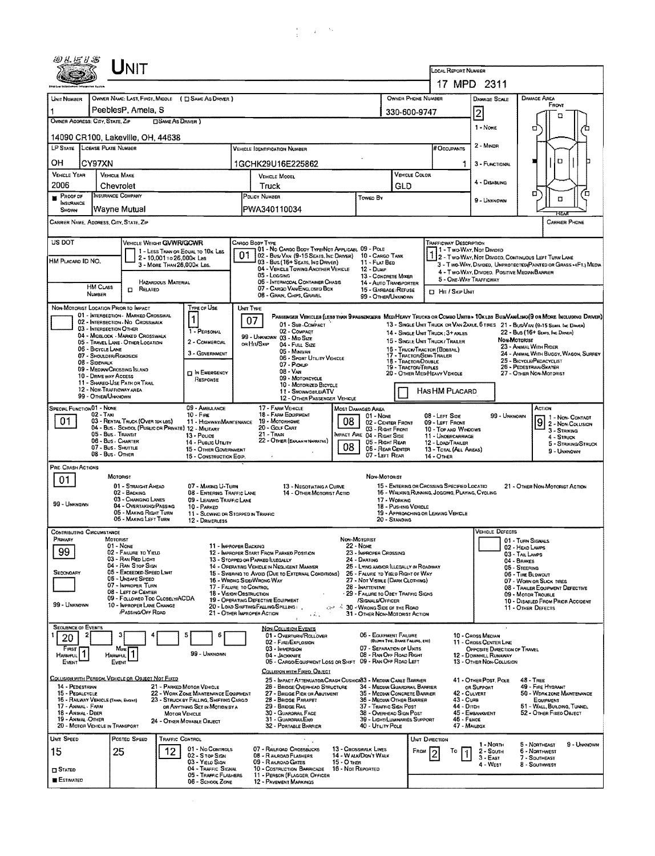|                                                            | UNIT                                                                                       |                                                                                |                                                                                                           |                                                                                                                  |                                                                                          |                                      |                                                                                                 |                                                                                   |                                                                                                                             |  |  |  |  |
|------------------------------------------------------------|--------------------------------------------------------------------------------------------|--------------------------------------------------------------------------------|-----------------------------------------------------------------------------------------------------------|------------------------------------------------------------------------------------------------------------------|------------------------------------------------------------------------------------------|--------------------------------------|-------------------------------------------------------------------------------------------------|-----------------------------------------------------------------------------------|-----------------------------------------------------------------------------------------------------------------------------|--|--|--|--|
|                                                            |                                                                                            |                                                                                |                                                                                                           |                                                                                                                  |                                                                                          |                                      | LOCAL REPORT NUMBER                                                                             |                                                                                   |                                                                                                                             |  |  |  |  |
|                                                            |                                                                                            | OWNER NAME: LAST, FIRST, MIDDLE ( [] SAME AS DRIVER )                          |                                                                                                           |                                                                                                                  |                                                                                          | OWNER PHONE NUMBER                   |                                                                                                 | 17 MPD 2311                                                                       | <b>DAMAGE AREA</b>                                                                                                          |  |  |  |  |
| <b>LINIT NUMBER</b><br>1                                   | PeeblesP, Amela, S                                                                         |                                                                                |                                                                                                           |                                                                                                                  |                                                                                          | 330-600-9747                         |                                                                                                 | <b>DAMAGE SCALE</b>                                                               | FRONT                                                                                                                       |  |  |  |  |
| OWNER ADDRESS: CITY, STATE, ZIP                            |                                                                                            | <b>SAME AS DRIVER</b> )                                                        |                                                                                                           |                                                                                                                  |                                                                                          |                                      |                                                                                                 | $\overline{2}$                                                                    | □                                                                                                                           |  |  |  |  |
|                                                            | 14090 CR100, Lakeville, OH, 44638                                                          |                                                                                | 1 - NONE                                                                                                  | О                                                                                                                |                                                                                          |                                      |                                                                                                 |                                                                                   |                                                                                                                             |  |  |  |  |
| LP STATE LICENSE PLATE NUMBER                              |                                                                                            |                                                                                |                                                                                                           |                                                                                                                  | <b>B</b> Occupants                                                                       | 2 - Minor                            |                                                                                                 |                                                                                   |                                                                                                                             |  |  |  |  |
| OН<br>CY97XN                                               |                                                                                            |                                                                                | 1GCHK29U16E225862                                                                                         |                                                                                                                  |                                                                                          |                                      | 1                                                                                               | 3 - FUNCTIONAL                                                                    | O                                                                                                                           |  |  |  |  |
| <b>VEHICLE YEAR</b><br>2006                                | VEHICLE MAKE                                                                               |                                                                                | <b>VEHICLE MODEL</b><br>Truck                                                                             |                                                                                                                  | VEHICLE COLOR                                                                            |                                      | 4 - Disabling                                                                                   |                                                                                   |                                                                                                                             |  |  |  |  |
| PROOF OF<br>п                                              | Chevrolet<br><b>INSURANCE COMPANY</b>                                                      |                                                                                | POLICY NUMBER<br><b>TOWED BY</b>                                                                          |                                                                                                                  |                                                                                          | GLD                                  |                                                                                                 | 9 - Unknown                                                                       | о<br>Έ<br>۵                                                                                                                 |  |  |  |  |
| INSURANCE<br>SHOWN                                         | Wayne Mutual                                                                               |                                                                                | PWA340110034                                                                                              |                                                                                                                  |                                                                                          |                                      |                                                                                                 |                                                                                   | REA                                                                                                                         |  |  |  |  |
|                                                            | CARRIER NAME, ADDRESS, CITY, STATE, ZIP                                                    |                                                                                |                                                                                                           |                                                                                                                  |                                                                                          |                                      |                                                                                                 |                                                                                   | <b>CARRIER PHONE</b>                                                                                                        |  |  |  |  |
| US DOT                                                     |                                                                                            | VEHICLE WEIGHT GVWR/GCWR                                                       | CARGO BODY TYPE                                                                                           |                                                                                                                  |                                                                                          |                                      | <b>TRAFFICWAY DESCRIPTION</b>                                                                   |                                                                                   |                                                                                                                             |  |  |  |  |
| HM PLACARD ID NO.                                          |                                                                                            | 1 - LESS THAN OR EQUAL TO 10K LBS<br>2 - 10,001 To 26,000K Las                 | 01                                                                                                        | 01 - No Cargo Body Type/Not Applicabl 09 - Pole<br>02 - Bus/VAN (9-15 SEATS, INC DRIVER)                         | 10 - Cargo Tank                                                                          |                                      |                                                                                                 | 1 - Two-Way, Not Divided                                                          | 2 - Two-Way, Not Divided, Continuous Left Turn Lane                                                                         |  |  |  |  |
|                                                            |                                                                                            | 3 - MORE THAN 26,000K LBS.                                                     | 03 - Bus (16+ Seats, Inc Driver)<br>05 - Logging                                                          | 04 - VEHICLE TOWING ANOTHER VEHICLE                                                                              | 11 - FLAT BED<br>12 - Duse                                                               |                                      |                                                                                                 | 4 - Two-Way, Divided, Positive Median Barrier                                     | 3 - Two-WAY, Divided, UNPROTECTED (PAINTED OR GRASS >4FT.) MEDU                                                             |  |  |  |  |
|                                                            | <b>HM CLASS</b><br><b>D</b> RELATED                                                        | <b>HAZARDOUS MATERIAL</b>                                                      | 06 - INTERMODAL CONTAINER CHASIS<br>07 - CARGO VAN ENCLOSED BOX                                           |                                                                                                                  | <b>13 - CONCRETE MIXER</b><br>14 - AUTO TRANSPORTER<br>15 - GARBAGE / REFUSE             |                                      |                                                                                                 | 5 - ONE-WAY TRAFFICWAY                                                            |                                                                                                                             |  |  |  |  |
| NUMBER                                                     |                                                                                            |                                                                                | 08 - GRAN, CHPS, GRAVEL                                                                                   |                                                                                                                  | 99 - OTHER/UNKNOWN                                                                       |                                      | <b>D</b> Hr / Skip Unit                                                                         |                                                                                   |                                                                                                                             |  |  |  |  |
|                                                            | NON-MOTORIST LOCATION PRIOR TO IMPACT<br>01 - INTERSECTION - MARKEO CROSSWAL               | TYPE OF USE<br>1                                                               | UNIT TYPE                                                                                                 |                                                                                                                  |                                                                                          |                                      |                                                                                                 |                                                                                   | PASSENGER VEHICLES (LESS THAN 9 PASSENGERS MEDIMEAVY TRUCKS OR COMBO UNITS > 10KLBS BUSAVANA.IMO(9 OR MORE INCLUDING DRIVER |  |  |  |  |
|                                                            | 02 - INTERSECTION NO CROSSWALK<br>03 - INTERSECTION OTHER                                  | 1 - PERSONAL                                                                   | 07<br>02 - COMPACT                                                                                        | 01 - Sub COMPACT                                                                                                 |                                                                                          |                                      | 14 - SINGLE UNIT TRUCK: 3+ AXLES                                                                |                                                                                   | 13 - SINGLE UNIT TRUCK OR VAN 2AXLE, 6 TIRES 21 - BUS/VAN (9-15 SEATS, INC DRIVER)<br>22 - BUS (16+ Sears, Inc Diever)      |  |  |  |  |
|                                                            | 04 - MIDBLOCK - MARKED CROSSWALK<br>05 - Travel LANE - OTHER LOCATION<br>06 - BICYCLE LANE | 2 - COMMERCIAL                                                                 | 99 - UNKNOWN 03 - MID SIZE<br>or Hit/Skip<br>04 - Fut Size                                                |                                                                                                                  |                                                                                          |                                      | Non-Motorust<br>15 - SINGLE UNIT TRUCK / TRALER<br>23 - ANIMAL WITH RIDER                       |                                                                                   |                                                                                                                             |  |  |  |  |
| 08 - Sidewalk                                              | 07 - SHOULDER/ROADSIDE                                                                     | 3 - GDVERNMENT                                                                 | 05 - Minivan                                                                                              | 06 - SPORT UTILITY VEHICLE                                                                                       |                                                                                          | 18 - TRACTOR DOUBLE                  | 15 - TRUCK/TRACTOR (BOBTAIL)<br>17 - TRACTOR/SEMI-TRAILER                                       | 24 - ANIMAL WITH BUGGY, WAGON, SURREY<br>25 - BICYCLE/PEDACYCLIST                 |                                                                                                                             |  |  |  |  |
|                                                            | 09 - MEDIAN/CROSSING ISLAND<br>10 - DRIVE WAY ACCESS                                       | <b>D IN EMERGENCY</b>                                                          | 07 - Pickup<br>08 - VAN<br>09 - MOTORCYCLE                                                                |                                                                                                                  | 19 - TRACTOR/TRIPLES                                                                     | 20 - OTHER MEDIHEAVY VEHICLE         | 26 - PEDESTRIAN/SKATER<br>27 - OTHER NON-MOTORIST                                               |                                                                                   |                                                                                                                             |  |  |  |  |
|                                                            | 11 - Shared Use Path or Trail<br>12 - NON-TRAFFICWAY AREA                                  | RESPONSE                                                                       |                                                                                                           | 10 - Motorized Bicycle<br>11 - SNOWMDBILE/ATV                                                                    |                                                                                          |                                      | HAS HM PLACARD                                                                                  |                                                                                   |                                                                                                                             |  |  |  |  |
| <b>SPECIAL FUNCTION 01 - NONE</b>                          | 99 - OTHER/UNKNOWN                                                                         | 09 - AMBULANCE                                                                 | 17 - FARM VEHICLE                                                                                         | 12 - OTHER PASSENGER VEHICLE                                                                                     | Most Damaged Area                                                                        |                                      |                                                                                                 |                                                                                   | ACTION                                                                                                                      |  |  |  |  |
| 01                                                         | $02 - T_Ax$<br>03 - RENTAL TRUCK (OVER 10K LBS)                                            | $10 -$ Fire<br>11 - HIGHWAYIMAINTENANCE                                        | 18 - FARM EQUIPMENT<br>19 - Мотокноме                                                                     | 08                                                                                                               | 01 - Novie<br>02 - CENTER FRONT                                                          |                                      | 08 - LEFT SIDE<br>09 - LEFT FRONT                                                               | 99 - UNKNOWN                                                                      | 1 - Non- Contact<br>$\vert 9 \vert$                                                                                         |  |  |  |  |
|                                                            | 05 - Bus - Transit                                                                         | 04 - Bus - SCHOOL (PUBLIC OR PRIVATE) 12 - MILITARY<br>13 - Pouce              | 20 - Golf Cart<br>21 - Trani                                                                              |                                                                                                                  | 03 - Right Friont<br>MPACT ARE 04 - RIGHT SIDE                                           |                                      | 10 - TOP AND WINDOWS<br>11 - UNDERCARRIAGE                                                      |                                                                                   | 2 - Non-Collision<br>3 - Striking<br>4 - STRUCK                                                                             |  |  |  |  |
|                                                            | 06 - Bus - Charter<br>07 - Bus - SHUTTLE                                                   | 14 - Pusuc Unury<br>15 - OTHER GOVERNMENT                                      | 22 - OTHER (EXPLANM NARRATIVE)                                                                            | 08                                                                                                               | 05 - Right Rear<br>06 - REAR CENTER                                                      |                                      | 12 - LOAD/TRAILER<br>13 - TOTAL (ALL AREAS)                                                     |                                                                                   | 5 - STRIKING/STRUCK<br>9 - Unknown                                                                                          |  |  |  |  |
| PRE-CRASH ACTIONS                                          | 08 - Bus - OTHER                                                                           | 16 - CONSTRUCTION EQUP.                                                        |                                                                                                           |                                                                                                                  | 07 - Left Rear                                                                           |                                      | 14 - OTHER                                                                                      |                                                                                   |                                                                                                                             |  |  |  |  |
| 01                                                         | MOTORIST                                                                                   |                                                                                |                                                                                                           |                                                                                                                  | Non-Motorist                                                                             |                                      |                                                                                                 |                                                                                   |                                                                                                                             |  |  |  |  |
|                                                            | 01 - STRAIGHT AHEAD<br>02 - BACKING                                                        | 07 - Making U-Turn<br><b>08 - ENTERNG TRAFFIC LANE</b>                         |                                                                                                           | 13 - NEGOTIATING A CURVE<br>14 - OTHER MOTORIST ACTIO                                                            |                                                                                          |                                      | 15 - ENTERING OR CROSSING SPECIFIED LOCATIO<br>16 - WALKING, RUNNING, JOGGING, PLAYING, CYCLING |                                                                                   | 21 - Other Non-Motorist Action                                                                                              |  |  |  |  |
| 99 - UNKNOWN                                               | 03 - CHANGING LANES<br>04 - OVERTAKING/PASSING<br>05 - MAKING RIGHT TURN                   | 09 - LEAVING TRAFFIC LANE<br>10 - PARKED                                       |                                                                                                           |                                                                                                                  |                                                                                          | 17 - WORKING<br>18 - PUSHING VEHICLE | 19 - APPROACHING OR LEAVING VEHICLE                                                             |                                                                                   |                                                                                                                             |  |  |  |  |
|                                                            | 06 - MAKING LEFT TURN                                                                      | 11 - SLOWING OR STOPPED IN TRAFFIC<br>12 - DRIVERLESS                          |                                                                                                           |                                                                                                                  |                                                                                          | 20 - Standing                        |                                                                                                 |                                                                                   |                                                                                                                             |  |  |  |  |
| <b>CONTRIBUTING CIRCUMSTANCE</b><br>Primary                | MOTORIST                                                                                   |                                                                                |                                                                                                           |                                                                                                                  | NON-MOTORIST                                                                             |                                      |                                                                                                 | <b>VEHICLE DEFECTS</b>                                                            | 01 - TURN SIGNALS                                                                                                           |  |  |  |  |
| 99                                                         | $01 - None$<br>02 - FAILURE TO YIELD                                                       |                                                                                | 11 - Improper Backing<br>12 - IMPROPER START FROM PARKED POSITION                                         |                                                                                                                  | 22 - None<br>23 - IMPROPER CROSSING                                                      |                                      |                                                                                                 |                                                                                   | 02 - HEAD LAMPS<br>03 - TAIL LAMPS                                                                                          |  |  |  |  |
| SECONDARY                                                  | 03 - RAN RED LIGHT<br>04 - RAN STOP SIGN<br>05 - Exceeped Speed Limit                      |                                                                                | 13 - Stopped on PARKED LLEGALLY<br>14 - OPERATUNG VEHICLE IN NEGLIGENT MANINER                            |                                                                                                                  | 24 - DARTING<br>25 - LYING AND/OR ILLEGALLY IN ROADWAY                                   |                                      |                                                                                                 |                                                                                   | 04 - BRAKES<br>05 - STEERING                                                                                                |  |  |  |  |
|                                                            | 06 - Unsafe Speed<br>07 - IMPROPER TURN                                                    |                                                                                | 15 - Swering to Avoid (Due to External Conditions)<br>16 - WRDNG SIDE/WRDNG WAY<br>17 - FALURE TO CONTROL |                                                                                                                  | 26 - FALURE TO YIELD RIGHT OF WAY<br>27 - NOT VISSLE (DARK CLOTHING)<br>28 - INATTENTINE |                                      |                                                                                                 |                                                                                   | 06 - TIRE BLOWDUT<br>07 - WORN OR SLICK TIRES<br>08 - TRAILER EQUIPMENT DEFECTIVE                                           |  |  |  |  |
|                                                            | 08 - LEFT OF CENTER<br>09 - FOLLOWED TOO CLOSELY/ACDA                                      |                                                                                | 18 - VISION OBSTRUCTION<br>19 - OPERATING DEFECTIVE EQUIPMENT                                             |                                                                                                                  | - 29 - FAILURE TO OBEY TRAFFIC SIGNS<br>/SIGNALS/OFFICER                                 |                                      |                                                                                                 | 09 - MOTOR TROUBLE<br>10 - Disabled From Prior Accident                           |                                                                                                                             |  |  |  |  |
| 99 - LINKNOWN                                              | 10 - IMPROPER LANE CHANGE<br><b>PASSING/OFF ROAD</b>                                       |                                                                                | 20 - LOAD SHIFTING/FALLING/SPILLING:<br>21 - OTHER IMPROPER ACTION                                        | ٠Á.                                                                                                              | <b>CHAPLE 30 - WRONG SIDE OF THE ROAD</b><br>31 - OTHER NON-MOTORIST ACTION              |                                      |                                                                                                 |                                                                                   | 11 - OTHER DEFECTS                                                                                                          |  |  |  |  |
| <b>SEQUENCE OF EVENTS</b>                                  |                                                                                            |                                                                                | <b>NON-COLLISION EVENTS</b>                                                                               |                                                                                                                  |                                                                                          |                                      |                                                                                                 |                                                                                   |                                                                                                                             |  |  |  |  |
| 20                                                         |                                                                                            | 5                                                                              | 01 - OVERTURN/ROLLOVER<br>02 - FIRE/EXPLOSION                                                             |                                                                                                                  | 05 - EQUIPMENT FAILURE                                                                   | (BLOWN TIRE, BRAKE FAILURE, ETC)     |                                                                                                 | 10 - CROSS MEDIAN<br>11 - CROSS CENTER LINE                                       |                                                                                                                             |  |  |  |  |
| Finst<br>HARMFUL                                           | Most<br>Harnful                                                                            | 99 - UNKNOWN                                                                   | 03 - IMMERSION<br>04 - JACKKNIFE                                                                          | 05 - CARGO/EQUIPMENT LOSS OR SHIFT 09 - RAN OFF ROAD LEFT                                                        | 07 - SEPARATION OF UNITS<br>08 - RAN OFF ROAD RIGHT                                      |                                      |                                                                                                 | OPPOSITE DIRECTION OF TRAVEL<br>12 - DOWNHILL RUNAWAY<br>13 - OTHER NON-COLLISION |                                                                                                                             |  |  |  |  |
| EVENT                                                      | EVENT                                                                                      |                                                                                | COLLISION WITH FIXED, OBJECT                                                                              |                                                                                                                  |                                                                                          |                                      |                                                                                                 |                                                                                   |                                                                                                                             |  |  |  |  |
| 14 - PEDESTRIAN                                            | COLLISION WITH PERSON, VEHICLE OR OBJECT NOT FIXED                                         | 21 - PARKED MOTOR VEHICLE                                                      |                                                                                                           | 25 - Impact Attenuator/Crash Cushion 33 - Median Cable Barrier<br>26 - BRIDGE OVERHEAD STRUCTURE                 | 34 - Median Guardrail Barrier                                                            |                                      |                                                                                                 | 41 - OTHER POST, POLE<br>OR SUPPORT                                               | 48 - TREE<br>49 - FIRE HYGRANT                                                                                              |  |  |  |  |
| 15 - PEDALCYCLE<br>16 - RAILWAY VEHICLE (TRAIN, ENGINE)    |                                                                                            | 22 - WORK ZONE MAINTENANCE EQUIPMENT<br>23 - STRUCK BY FALLING, SHIFTING CARGO |                                                                                                           | 27 - BRIDGE PIER OR ABUTMENT<br>35 - Median Concrete Barrier<br>28 - BRIDGE PARAPET<br>36 - MEOIAN OTHER BARRIER |                                                                                          |                                      |                                                                                                 | 42 - CULVERT<br>50 - WORK ZONE MAINTENANCE<br>43 - Cuna<br>EQUIPMENT              |                                                                                                                             |  |  |  |  |
| 17 - Animal - Farm<br>18 - Anmal DEER<br>19 - Ansial Other |                                                                                            | OR ANYTHING SET IN MOTION BY A<br><b>MOTOR VEHICLE</b>                         | 29 - BRIOGE RAIL<br>30 - GUARDRAIL FACE<br>31 - GUARDRAILEND                                              |                                                                                                                  | 37 - TRAFFIC SIGN POST<br>38 - OVERHEAD SIGN POST<br>39 - LIGHT/LUMINARIES SUPPORT       |                                      | 44 - Опсн<br>46 - FENCE                                                                         | 45 - EMBANKMENT                                                                   | 51 - Wall. Burding, Tunnel<br>52 - Отнев Гіхео Овлест                                                                       |  |  |  |  |
|                                                            | 20 - MOTOR VEHICLE IN TRANSPORT                                                            | 24 - OTHER MOVABLE OBJECT                                                      | 32 - PORTABLE BARRIER                                                                                     |                                                                                                                  | 40 - UTILITY POLE                                                                        |                                      | 47 - MALBOX                                                                                     |                                                                                   |                                                                                                                             |  |  |  |  |
| Unit Speed                                                 | POSTED SPEED                                                                               | Traffic Control<br>01 - No Controls                                            | 07 - RAILROAD CROSSBUCKS                                                                                  |                                                                                                                  | 13 - CROSSWALK LINES                                                                     |                                      | UNIT DIRECTION                                                                                  | 1 - North                                                                         | 5 - NORTHEAST<br>9 - UNKNOWN                                                                                                |  |  |  |  |
| 15                                                         | 25                                                                                         | 12.<br>02 - S rop Sign<br>03 - YIELD SIGN                                      | 08 - RAILROAD FLASHERS<br>09 - RAILROAD GATES                                                             | 15 - О тиєв                                                                                                      | 14 - WALK/DON'T WALK                                                                     | FROM                                 | То                                                                                              | 2 - South<br>$3 - East$<br>4 WEST                                                 | 6 - NORTHWEST<br>7 - SOUTHEAST<br>8 - Southwest                                                                             |  |  |  |  |
| $\square$ Stated<br><b>E</b> ESTIMATED                     |                                                                                            | 04 - TRAFFIC SIGNAL<br>05 - TRAFFIC FLASHERS                                   | 10 - COSTRUCTION BARRICADE<br>11 - PERSON (FLAGGER, OFFICER                                               | 16 - Not Reported                                                                                                |                                                                                          |                                      |                                                                                                 |                                                                                   |                                                                                                                             |  |  |  |  |
|                                                            |                                                                                            | 06 - SCHOOL ZONE                                                               | 12 - PAVEMENT MARKINGS                                                                                    |                                                                                                                  |                                                                                          |                                      |                                                                                                 |                                                                                   |                                                                                                                             |  |  |  |  |

 $\bar{z}$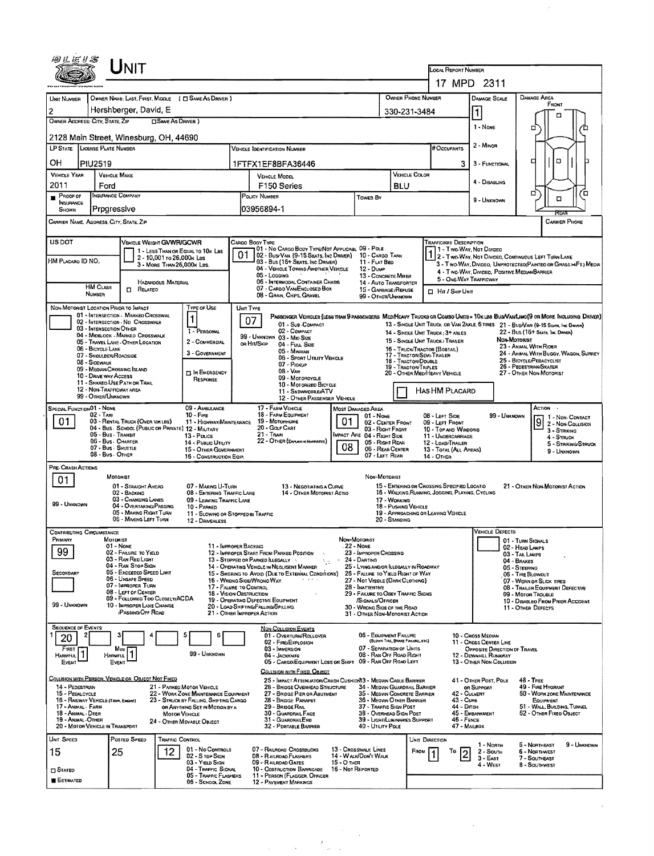| UNIT                                                                                                                                  |                                                                                                                                                     |                                                                                                 |                                                                                                                               |
|---------------------------------------------------------------------------------------------------------------------------------------|-----------------------------------------------------------------------------------------------------------------------------------------------------|-------------------------------------------------------------------------------------------------|-------------------------------------------------------------------------------------------------------------------------------|
|                                                                                                                                       |                                                                                                                                                     | LOCAL REPORT NUMBER                                                                             | 17 MPD 2311                                                                                                                   |
| OWNER NAME: LAST, FIRST, MIDDLE ( C SAME AS DRIVER )<br>UNIT NUMBER                                                                   |                                                                                                                                                     | OWNER PHONE NUMBER                                                                              | <b>DAMAGE AREA</b><br>DAMAGE SCALE                                                                                            |
| Hershberger, David, E<br>2                                                                                                            |                                                                                                                                                     | 330-231-3484                                                                                    | FRONT<br>11                                                                                                                   |
| OWNER ADDRESS: CITY, STATE, ZIP<br><b>CISAME AS DRIVER</b> )                                                                          |                                                                                                                                                     |                                                                                                 | 1 - None                                                                                                                      |
| 2128 Main Street, Winesburg, OH, 44690                                                                                                |                                                                                                                                                     |                                                                                                 | ▫                                                                                                                             |
| LP STATE LICENSE PLATE NUMBER                                                                                                         | <b>VEHICLE IDENTIFICATION NUMBER</b>                                                                                                                | # Occupants                                                                                     | 2 - Minor                                                                                                                     |
| он<br><b>PIU2519</b>                                                                                                                  | 1FTFX1EF8BFA36446                                                                                                                                   |                                                                                                 | □<br>۵<br>3<br>3 - FUNCTIONAL                                                                                                 |
| <b>VEHICLE YEAR</b><br><b>VEHICLE MAKE</b><br>2011<br>Ford                                                                            | VEHICLE MODEL<br>F <sub>150</sub> Series                                                                                                            | VEHICLE COLOR<br>BLU                                                                            | 4 - DISABLING                                                                                                                 |
| <b>INSURANCE COMPANY</b><br>PROOF OF                                                                                                  | POLICY NUMBER<br>Toweb By                                                                                                                           |                                                                                                 | σī<br>Έ<br>α<br>9 - UNKNOWN                                                                                                   |
| INSURANCE<br>Progressive<br>SHOWN                                                                                                     | 1-03956894                                                                                                                                          |                                                                                                 | REAR                                                                                                                          |
| CARRIER NAME, ADDRESS, CITY, STATE, ZIP                                                                                               |                                                                                                                                                     |                                                                                                 | <b>CARRIER PHONE</b>                                                                                                          |
| US DOT<br>VEHICLE WEIGHT GVWR/GCWR                                                                                                    | Cargo Booy Type                                                                                                                                     | <b>TRAFFICWAY DESCRIPTION</b>                                                                   |                                                                                                                               |
| 1 - LESS THAN OR EQUAL TO 10K LBS<br>2 - 10,001 to 26,000k Lss<br>HM PLACARO ID NO.                                                   | 01 - No CARGO BODY TYPE/NOT APPLICABL 09 - POLE<br>01<br>02 - Bus/Van (9-15 Seats, Inc Driver)<br>03 - Bus (16+ Seats, Inc DRIVER)<br>11 - FLAT BED | 10 - CARGO TANK                                                                                 | 11 - Two Way, Not Divideo<br>2 - Two-Way, Not Divideo, Continuous Left Turn Lane                                              |
| 3 - MORE THAN 26,000K LBS.                                                                                                            | 04 - VEHICLE TOWING ANOTHER VEHICLE<br>12 - Dump<br>05 - LOGGING                                                                                    | 13 - CONCRETE MIXER                                                                             | 3 - Two-WAY, DIVIDEO, UNPROTECTEO(PAINTEO OR GRASS = FT.) MEDIA<br>4 - Two-WAY, DIVIDEO, POSITIVE MEDIAN BARRIER              |
| HAZAROOUS MATERIAL<br><b>HM CLASS</b><br>$\Box$ Related                                                                               | 06 - INTERMODAL CONTAINER CHASIS<br>07 - CARGO VAN/ENCLOSED BOX                                                                                     | 14 - AUTO TRANSPORTER<br>15 - GARBAGE / REFUSE<br><b>CI HIT / SKIP UNIT</b>                     | 5 - ONE-WAY TRAFFICWAY                                                                                                        |
| <b>NUMBER</b>                                                                                                                         | 08 - GRAIN, CHIPS, GRAVEL                                                                                                                           | 99 - OTHER/UNKNOWN                                                                              |                                                                                                                               |
| Type of Use<br>NON-MOTORIST LOCATION PRIOR TO IMPACT<br>01 - INTERSECTION - MARKED CROSSWAL<br>1<br>02 - INTERSECTION - NO CROSSWALK  | UNIT TYPE<br>07                                                                                                                                     |                                                                                                 | PASSENGER VEHICLES (LESS THAN 9 PASSENGERS MEDIMENTY TRUCKS OR COMBO UNITS > 10x LES BUS/VAN/LIMO(9 OR MORE INCLUDING DRIVER) |
| 03 - INTERSECTION OTHER<br>1 - PERSONAL<br>04 - Mioslock - Markeo Crosswalk                                                           | 01 - Sub-Compact<br>02 - COMPACT                                                                                                                    | 14 - SINGLE UNIT TRUCK: 3+ AXLES                                                                | 13 - SINGLE UNIT TRUCK OR VAN 2AXLE, 6 TIRES 21 - BUS/VAN (9-15 SEATS, INC DRIVER)<br>22 - BUS (16+ SEATS, INC DRIVER)        |
| 2 - COMMERCIAL<br>05 - Travel Lane - Other LOCATION<br>06 - BICYCLE LANE                                                              | 99 - UNKNOWN 03 - Mso Size<br>ов Ніт/Skip<br>04 - Full Size                                                                                         | 15 - SINGLE UNIT TRUCK/ TRAILER<br>15 - TRUCK/TRACTOR (BOBTAIL)                                 | NON-MOTORIST<br>23 - ANMAL WITH RIDER                                                                                         |
| 3 - GOVERNMENT<br>07 - SHOULDER/ROAOSIDE<br>08 - SIDEWALK                                                                             | 05 - Minivan<br>06 - SPORT UTILITY VEHICLE<br>07 - Pickup                                                                                           | 17 - Tractor/Semi-Trailer<br>18 - TRACTOR/DOUBLE                                                | 24 - ANMAL WITH BUGGY, WAGON, SURREY<br>25 - BICYCLE/PEDACYCLIST                                                              |
| 09 - MEOVAN CROSSING ISLAND<br><b>DIN EMERGENCY</b><br>10 - DRIVE WAY ACCESS                                                          | 08 - Van<br>09 - MOTORCYCLE                                                                                                                         | <b>19 - TRACTOR/TRIPLES</b><br>20 - OTHER MEDIHEAVY VEHICLE                                     | 26 - PEDESTRIAN/SKATER<br>27 - OTHER NON-MOTORIST                                                                             |
| RESPONSE<br>11 - Shareo Use Path or Trail<br>12 - NON-TRAFFICWAY AREA                                                                 | 10 - Motorazeo Bicycle<br>11 - SNDWMOBLE/ATV                                                                                                        | HAS HM PLACARD                                                                                  |                                                                                                                               |
| 99 - OTHER/UNKNOWN<br>SPECIAL FUNCTION 01 - NONE<br>09 - AMBULANCE                                                                    | 12 - OTHER PASSENGER VEHICLE<br>17 - FARM VEHICLE                                                                                                   |                                                                                                 | ACTION .                                                                                                                      |
| 02 - Taxi<br>10 - FIRE<br>01<br>03 - RENTAL TRUCK (OVER 10K1BS)<br>11 - Highway Maintenance                                           | Most Damaged Area<br>18 - FARM EQUIPMENT<br>01 - None<br>01<br>19 - MOTORHOME                                                                       | 08 - LEFT SIDE<br>09 - LEFT FRONT                                                               | 99 - UNKNOWN<br>1 - Non Contact                                                                                               |
| 04 - Bus - School (Public or Private) 12 - Military<br>05 - Bus - Transit<br>13 - Pouce                                               | 20 - Golf Cart<br>21 - Train<br>MPACT ARE 04 - RIGHT SIDE                                                                                           | 02 - CENTER FRONT<br>03 - RIGHT FRONT<br>10 - TOP AND WINDOWS<br>11 - UNDERCARRIAGE             | 9<br>2 - NON-COLLISION<br>3 - STRIKING                                                                                        |
| 06 - Bus - Charter<br>14 - Pusuc Unury<br>07 - Bus - SHUTTLE<br>15 - OTHER GOVERNMENT                                                 | 22 - OTHER (ENPLAN IN NAPRATIVE)<br>08                                                                                                              | 05 - Right Rear<br>12 - LOAD/TRAILER<br>06 - REAR CENTER<br>13 - TOTAL (ALL AREAS)              | 4 - Struck<br>5 - STRIKING/STRUCK                                                                                             |
| 08 - Bus - OTHER<br>16 - CONSTRUCTION EQIP.                                                                                           |                                                                                                                                                     | 07 - LEFT REAR<br>14 - OTHER                                                                    | 9 - Unknown                                                                                                                   |
| PRE-CRASH ACTIONS<br>MOTORIST<br>01                                                                                                   |                                                                                                                                                     | Non-Motorist                                                                                    |                                                                                                                               |
| 01 - STRAIGHT AKEAD<br>07 - MAKING U-TURN<br>02 - BACKING<br>08 - ENTERING TRAFFIC LANE                                               | 13 - NEGOTIATING A CURVE<br>14 - OTHER MOTORIST ACTIO                                                                                               | 15 - ENTERING OR CROSSING SPECIFIED LOCATIO<br>16 - WALKING, RUNNING, JOGGING, PLAYING, CYCLING | 21 - OTHER NON-MOTORIST ACTION                                                                                                |
| 03 - CHANGING LANES<br>09 - LEAVING TRAFFIC LANE<br>99 - UNKNOWN<br>04 - OVERTAKING/PASSING<br>10 - PARKED                            |                                                                                                                                                     | 17 - WORKING<br>18 - PUSHING VEHICLE                                                            |                                                                                                                               |
| 05 - MAKING RIGHT TURN<br>06 - MAKING LEFT TURN<br>12 - DRIVERLESS                                                                    | 11 - SLOWING OR STOPPED IN TRAFFIC                                                                                                                  | 19 - APPROACHING OR LEAVING VEHICLE<br>20 - STANDING                                            |                                                                                                                               |
| <b>CONTRIBUTING CIRCUMSTANCE</b>                                                                                                      |                                                                                                                                                     |                                                                                                 | <b>VEHICLE DEFECTS</b>                                                                                                        |
| MOTORIST<br>PRIMARY<br>01 - None<br>99<br>02 - FAILURE TO YIELD                                                                       | NON-MOTORIST<br>11 - IMPROPER BACKING<br>. 22 - NONE<br>12 - IMPROPER START FROM PARKED POSITION<br>23 - IMPROPER CROSSING                          |                                                                                                 | 01 - TURN SIGNALS<br>02 - HEAD LAMPS                                                                                          |
| 03 - RAN RED LIGHT<br>04 - RAN STOP SIGN                                                                                              | 13 - STOPPED OR PARKED ILLEGALLY<br>24 - DARTING<br>14 - OPERATING VEHICLE IN NEGLIGENT MANNER                                                      | 25 - LYING ANDIOR ILLEGALLY IN ROADWAY                                                          | 03 - TAIL LAMPS<br>04 - BRAKES                                                                                                |
| 05 - Exceeped Speed Limit<br>SECONDARY<br>06 - UNSAFE SPEED                                                                           | 15 - Swering to Avoid (Due to External Conditions)<br>15 - WRDNG SIDE/WRONG WAY                                                                     | 26 - FALURE TO YIELD RIGHT OF WAY<br>27 - NOT VISIBLE (DARK CLOTHING)                           | 05 - STEERING<br>06 - TIRE BLOWDUT<br>07 - WORN OR SLICK TIRES                                                                |
| 07 - IMPROPER TURN<br>08 - LEFT OF CENTER                                                                                             | 17 - FALURE TO CONTROL<br>28 - INATTENTIVE<br>18 - VISION OBSTRUCTION                                                                               | 29 - FAILURE TO OBEY TRAFFIC SIGNS                                                              | 08 - TRAILER EQUIPMENT DEFECTIVE<br>09 - MOTOR TROUBLE                                                                        |
| 09 - FOLLOWED TOO CLOSELY/ACDA<br>99 - UNKNOWN<br>10 - IMPROPER LANE CHANGE                                                           | 19 - OPERATING DEFECTIVE EQUIPMENT<br>/SIGNALS/OFFICER<br>20 - LOAD SHIFTING/FALLING/SPILLING                                                       | 30 - WRONG SIDE OF THE ROAD                                                                     | 10 - DISABLEO FROM PRIOR ACCIDENT<br>11 - OTHER DEFECTS                                                                       |
| <b>/PASSING/OFF ROAD</b>                                                                                                              | 21 - OTHER IMPROPER ACTION                                                                                                                          | 31 - OTHER NON-MOTORIST ACTION                                                                  |                                                                                                                               |
| <b>SEQUENCE OF EVENTS</b><br>3<br>6<br>20                                                                                             | <b>NON-COLLISION EVENTS</b><br>01 - OVERTURN/ROLLOVER                                                                                               | 05 - EQUIPMENT FAILURE                                                                          | 10 - Cross Median                                                                                                             |
| FIRST<br>Most<br>HARMFUL <sup>1</sup><br>99 - UNKNOWN                                                                                 | 02 - FIRE/EXPLOSION<br>03 - IMMERSION                                                                                                               | (BLOWN TIRE, BRACE FAILIRE, ETC)<br>07 - SEPARATION OF UNITS                                    | 11 - Cross Center Line<br>OPPOSITE DIRECTION OF TRAVEL                                                                        |
| Harmful<br>EVENT<br>EVENT                                                                                                             | 04 - JACKKNIFE<br>05 - CARGO/EQUIPMENT LOSS OR SHIFT 09 - RAN OFF ROAD LEFT                                                                         | 08 - RAN OFF ROAD RIGHT                                                                         | 12 - DOWNHAL RUNAWAY<br>13 - OTHER NON COLLISION                                                                              |
| Collision with Person, Vehicle or Object Not Fixed                                                                                    | COLLISION WITH FIXED, OBJECT<br>25 - IMPACT ATTENUATOR/CRASH CUSHION33 - MEDIAN CABLE BARRIER                                                       |                                                                                                 | 48 - TREE<br>41 - OTHER POST, POLE                                                                                            |
| 14 - PEDESTRIAN<br>21 - PARKED MOTOR VEHICLE<br>15 - PEDALCYCLE<br>22 - WORK ZONE MAINTENANCE EQUIPMENT                               | 26 - BRIDGE OVERHEAD STRUCTURE<br>27 - BRIDGE PIER OR ABUTMENT                                                                                      | 34 - MEDIAN GUARDRAIL BARRIER<br>35 - MEDIAN CONCRETE BARRIER                                   | 49 - FIRE HYORANT<br>OR SUPPORT<br>42 - CULVERT<br>50 - WORK ZONE MAINTENANCE                                                 |
| 16 - RAILWAY VEHICLE (TRAN, EAGINE)<br>23 - STRUCK BY FALLING, SHIFTING CARGO<br>17 - Animal - Farm<br>OR ANYTHING SET IN MOTION BY A | 28 - BRIDGE PARAPET<br>29 - BRIDGE RAIL                                                                                                             | 36 - MEQUN OTHER BARRIER<br>37 - TRAFFIC SIGN POST                                              | $43 - C$ urs<br>EQUIPMENT<br>44 - Олсн<br>51 - WALL, BUILDING, TUNNEL                                                         |
| 18 - Animal - Deer<br><b>MOTOR VEHICLE</b><br>19 - ANIMAL - OTHER<br>24 - OTHER MOVABLE OBJECT<br>20 - MOTOR VEHICLE IN TRANSPORT     | 30 - GUARDRAIL FACE<br>31 - GUARDRAILEND<br>32 - PORTASLE BARRIER                                                                                   | 38 - OVERHEAD SIGN POST<br>39 - LIGHT/LUMINARIES SUPPORT<br>40 - UTILITY POLE                   | 45 - EMBANKMENT<br>52 - Отнев Fixeo Овлест<br>46 - FENCE<br>47 - MAILBOX                                                      |
| UNIT SPEED<br>POSTED SPEED<br>TRAFFIC CONTROL                                                                                         |                                                                                                                                                     | UNIT DIRECTION                                                                                  |                                                                                                                               |
| 01 - No CONTROLS<br>12<br>15<br>25<br>02 - S top Sign                                                                                 | 07 - RAILROAO CROSSBUCKS<br>13 - CROSSWALK LINES<br>14 - WALK/DON'T WALK<br>08 - RAILROAD FLASHERS                                                  | FROM<br>To                                                                                      | 9 - Unknown<br>1 - Norm<br>5 - Northeast<br>$2 -$ South<br>6 - Northwest<br>2                                                 |
| 03 - Yield Sign<br>04 - Traffic Signal<br><b>STATED</b>                                                                               | 09 - RAILROAD GATES<br>$15 - 0$ then<br>10 - COSTRUCTION BARRICADE<br>16 - Not Reported                                                             |                                                                                                 | $3 - E$ AST<br>7 - SOUTHEAST<br>4 - West<br><b>8 - SOUTHWEST</b>                                                              |
| 05 - TRAFFIC FLASHERS<br><b>E</b> Estimated<br>06 - SCHOOL ZONE                                                                       | 11 - PERSON (FLAGGER, OFFICER<br>12 - PAVEMENT MARKINGS                                                                                             |                                                                                                 |                                                                                                                               |

 $\sim$ 

 $\sim$   $\sim$ 

 $\mathcal{L}(\mathcal{A})$  and  $\mathcal{L}(\mathcal{A})$ 

 $\label{eq:2.1} \begin{split} \mathcal{L}_{\text{max}}(\mathbf{r}) = \frac{1}{\sqrt{2\pi\left(\mathbf{r}-\mathbf{r}\right)}}\left(\mathbf{r}-\mathbf{r}\right)\\ \mathcal{L}_{\text{max}}(\mathbf{r}) = \frac{2\pi\left(\mathbf{r}-\mathbf{r}\right)}{2\pi\left(\mathbf{r}-\mathbf{r}\right)}\left(\mathbf{r}-\mathbf{r}\right)\\ \mathcal{L}_{\text{max}}(\mathbf{r}) = \frac{2\pi\left(\mathbf{r}-\mathbf{r}\right)}{2\pi\left(\mathbf{r}-\mathbf{r}\right)}\left(\mathbf{r$